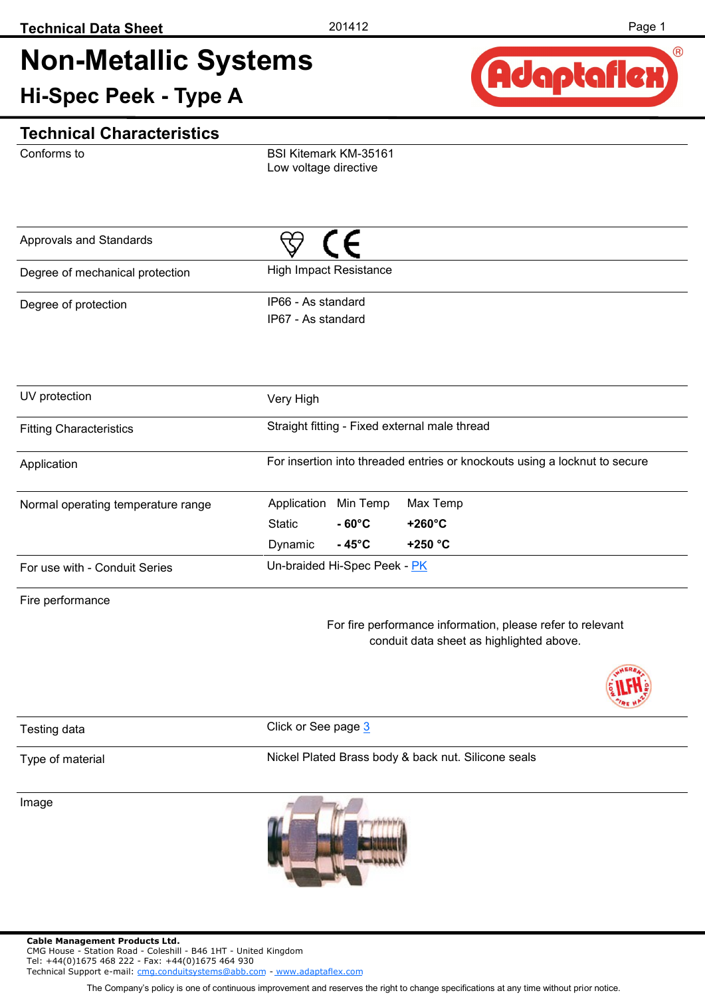# **Non-Metallic Systems**

**Hi-Spec Peek - Type A** 



### **Technical Characteristics**

Conforms to

BSI Kitemark KM-35161 Low voltage directive

| Approvals and Standards         |                                          |
|---------------------------------|------------------------------------------|
| Degree of mechanical protection | <b>High Impact Resistance</b>            |
| Degree of protection            | IP66 - As standard<br>IP67 - As standard |

| UV protection                      | Very High   |                                               |                                                                            |  |  |  |  |
|------------------------------------|-------------|-----------------------------------------------|----------------------------------------------------------------------------|--|--|--|--|
| <b>Fitting Characteristics</b>     |             | Straight fitting - Fixed external male thread |                                                                            |  |  |  |  |
| Application                        |             |                                               | For insertion into threaded entries or knockouts using a locknut to secure |  |  |  |  |
| Normal operating temperature range | Application | Min Temp                                      | Max Temp                                                                   |  |  |  |  |
|                                    | Static      | $-60^{\circ}$ C                               | $+260^{\circ}$ C                                                           |  |  |  |  |
|                                    | Dynamic     | $-45^{\circ}$ C                               | +250 $°C$                                                                  |  |  |  |  |
| For use with - Conduit Series      |             | Un-braided Hi-Spec Peek - PK                  |                                                                            |  |  |  |  |

Fire performance

For fire performance information, please refer to relevant conduit data sheet as highlighted above.



Testing data **Click** or See page [3](#page-2-0)

#### Type of material

Nickel Plated Brass body & back nut. Silicone seals

Image



Tel: +44(0)1675 468 222 - Fax: +44(0)1675 464 930 Technical Support e-mail: [cmg.conduitsystems@abb.com](mailto:mailto:cmg.conduitsystems@tnb.com?subject=Data%20Sheet%20-%20Technical%20Support) - [www.adaptaflex.com](http://www.adaptaflex.com)

The Company's policy is one of continuous improvement and reserves the right to change specifications at any time without prior notice.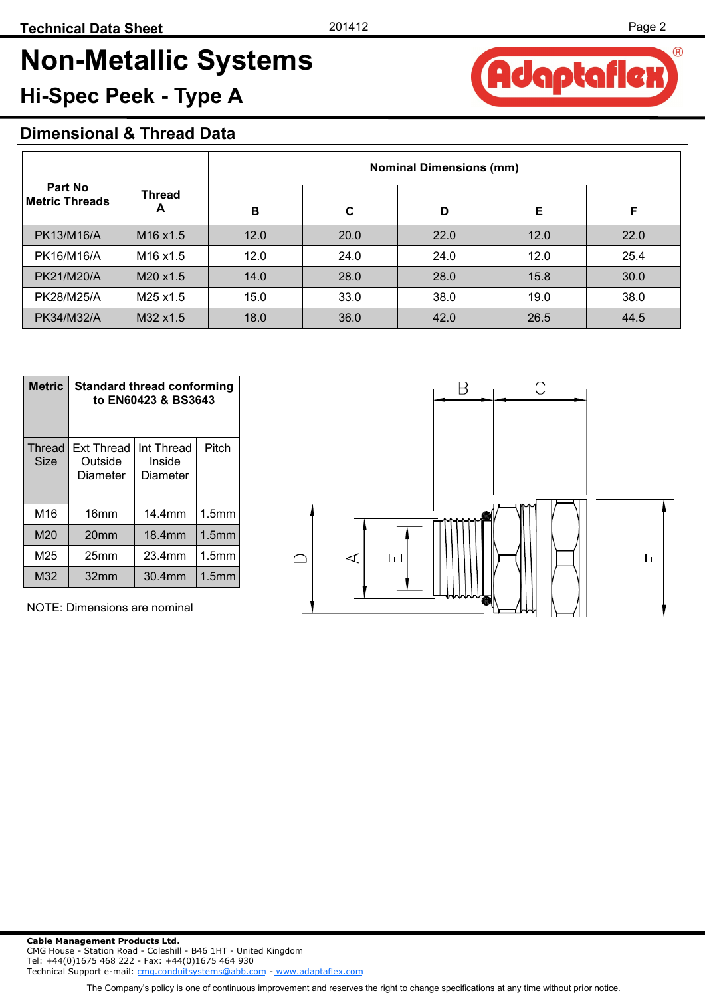# **Non-Metallic Systems**

## **Hi-Spec Peek - Type A**

### **Dimensional & Thread Data**

|                                         |                                  | <b>Nominal Dimensions (mm)</b> |      |      |      |      |  |  |
|-----------------------------------------|----------------------------------|--------------------------------|------|------|------|------|--|--|
| <b>Part No</b><br><b>Metric Threads</b> | <b>Thread</b><br>A               | B                              | C    | D    | E    | F    |  |  |
| PK13/M16/A                              | M <sub>16</sub> x <sub>1.5</sub> | 12.0                           | 20.0 | 22.0 | 12.0 | 22.0 |  |  |
| PK16/M16/A                              | M <sub>16</sub> x <sub>1.5</sub> | 12.0                           | 24.0 | 24.0 | 12.0 | 25.4 |  |  |
| PK21/M20/A                              | M20 x1.5                         | 14.0                           | 28.0 | 28.0 | 15.8 | 30.0 |  |  |
| PK28/M25/A                              | M25 x1.5                         | 15.0                           | 33.0 | 38.0 | 19.0 | 38.0 |  |  |
| PK34/M32/A                              | M32 x1.5                         | 18.0                           | 36.0 | 42.0 | 26.5 | 44.5 |  |  |

| <b>Metric</b>  | <b>Standard thread conforming</b><br>to EN60423 & BS3643 |                                           |                   |  |  |  |  |
|----------------|----------------------------------------------------------|-------------------------------------------|-------------------|--|--|--|--|
| Thread<br>Size | <b>Ext Thread</b><br>Outside<br>Diameter                 | Pitch<br>Int Thread<br>Inside<br>Diameter |                   |  |  |  |  |
| M16            | 16 <sub>mm</sub>                                         | 14.4mm                                    | 1.5 <sub>mm</sub> |  |  |  |  |
| M20            | 20 <sub>mm</sub>                                         | 18.4mm                                    | 1.5 <sub>mm</sub> |  |  |  |  |
| M25            | 25 <sub>mm</sub>                                         | 23.4mm                                    | 1.5 <sub>mm</sub> |  |  |  |  |
| M32            | 32 <sub>mm</sub>                                         | 30.4mm                                    | 1.5 <sub>mm</sub> |  |  |  |  |

NOTE: Dimensions are nominal